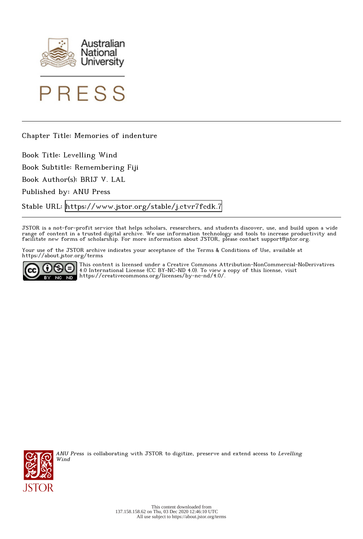



Chapter Title: Memories of indenture

Book Title: Levelling Wind

Book Subtitle: Remembering Fiji

Book Author(s): BRIJ V. LAL

Published by: ANU Press

Stable URL:<https://www.jstor.org/stable/j.ctvr7fcdk.7>

JSTOR is a not-for-profit service that helps scholars, researchers, and students discover, use, and build upon a wide range of content in a trusted digital archive. We use information technology and tools to increase productivity and facilitate new forms of scholarship. For more information about JSTOR, please contact support@jstor.org.

Your use of the JSTOR archive indicates your acceptance of the Terms & Conditions of Use, available at https://about.jstor.org/terms



This content is licensed under a Creative Commons Attribution-NonCommercial-NoDerivatives 4.0 International License (CC BY-NC-ND 4.0). To view a copy of this license, visit https://creativecommons.org/licenses/by-nc-nd/4.0/.



ANU Press is collaborating with JSTOR to digitize, preserve and extend access to Levelling Wind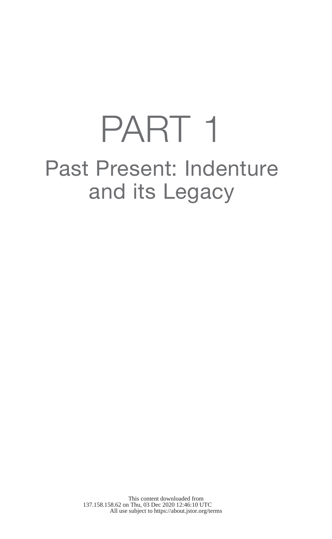# PART 1 Past Present: Indenture and its Legacy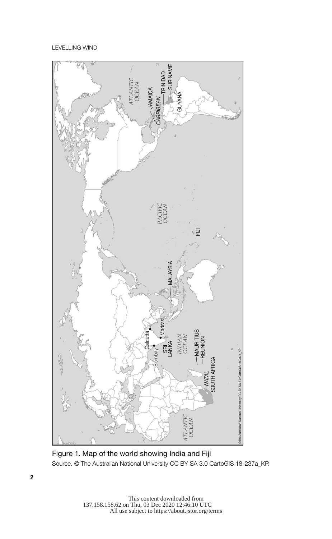

Figure 1. Map of the world showing India and Fiji Source. © The Australian National University CC BY SA 3.0 CartoGIS 18-237a\_KP.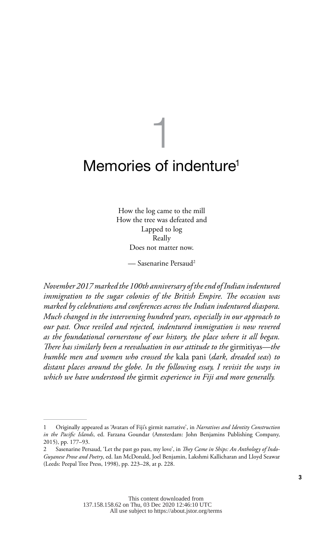## 1 Memories of indenture<sup>1</sup>

How the log came to the mill How the tree was defeated and Lapped to log Really Does not matter now.

— Sasenarine Persaud2

*November 2017 marked the 100th anniversary of the end of Indian indentured immigration to the sugar colonies of the British Empire. The occasion was marked by celebrations and conferences across the Indian indentured diaspora. Much changed in the intervening hundred years, especially in our approach to our past. Once reviled and rejected, indentured immigration is now revered as the foundational cornerstone of our history, the place where it all began. There has similarly been a reevaluation in our attitude to the* girmitiyas*—the humble men and women who crossed the* kala pani (*dark, dreaded seas*) *to distant places around the globe. In the following essay, I revisit the ways in which we have understood the* girmit *experience in Fiji and more generally.*

<sup>1</sup> Originally appeared as 'Avatars of Fiji's girmit narrative', in *Narratives and Identity Construction in the Pacific Islands*, ed. Farzana Goundar (Amsterdam: John Benjamins Publishing Company, 2015), pp. 177–93.

<sup>2</sup> Sasenarine Persaud, 'Let the past go pass, my love', in *They Came in Ships: An Anthology of Indo-Guyanese Prose and Poetry*, ed. Ian McDonald, Joel Benjamin, Lakshmi Kallicharan and Lloyd Seawar (Leeds: Peepal Tree Press, 1998), pp. 223–28, at p. 228.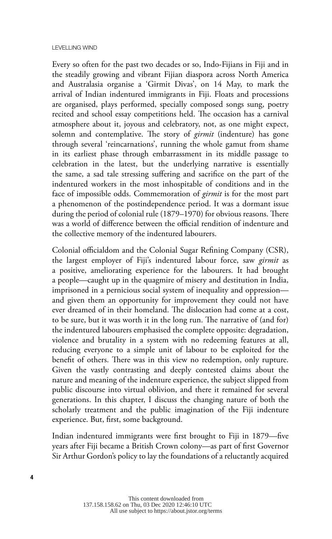Every so often for the past two decades or so, Indo-Fijians in Fiji and in the steadily growing and vibrant Fijian diaspora across North America and Australasia organise a 'Girmit Divas', on 14 May, to mark the arrival of Indian indentured immigrants in Fiji. Floats and processions are organised, plays performed, specially composed songs sung, poetry recited and school essay competitions held. The occasion has a carnival atmosphere about it, joyous and celebratory, not, as one might expect, solemn and contemplative. The story of *girmit* (indenture) has gone through several 'reincarnations', running the whole gamut from shame in its earliest phase through embarrassment in its middle passage to celebration in the latest, but the underlying narrative is essentially the same, a sad tale stressing suffering and sacrifice on the part of the indentured workers in the most inhospitable of conditions and in the face of impossible odds. Commemoration of *girmit* is for the most part a phenomenon of the postindependence period. It was a dormant issue during the period of colonial rule (1879–1970) for obvious reasons. There was a world of difference between the official rendition of indenture and the collective memory of the indentured labourers.

Colonial officialdom and the Colonial Sugar Refining Company (CSR), the largest employer of Fiji's indentured labour force, saw *girmit* as a positive, ameliorating experience for the labourers. It had brought a people—caught up in the quagmire of misery and destitution in India, imprisoned in a pernicious social system of inequality and oppression and given them an opportunity for improvement they could not have ever dreamed of in their homeland. The dislocation had come at a cost, to be sure, but it was worth it in the long run. The narrative of (and for) the indentured labourers emphasised the complete opposite: degradation, violence and brutality in a system with no redeeming features at all, reducing everyone to a simple unit of labour to be exploited for the benefit of others. There was in this view no redemption, only rupture. Given the vastly contrasting and deeply contested claims about the nature and meaning of the indenture experience, the subject slipped from public discourse into virtual oblivion, and there it remained for several generations. In this chapter, I discuss the changing nature of both the scholarly treatment and the public imagination of the Fiji indenture experience. But, first, some background.

Indian indentured immigrants were first brought to Fiji in 1879—five years after Fiji became a British Crown colony—as part of first Governor Sir Arthur Gordon's policy to lay the foundations of a reluctantly acquired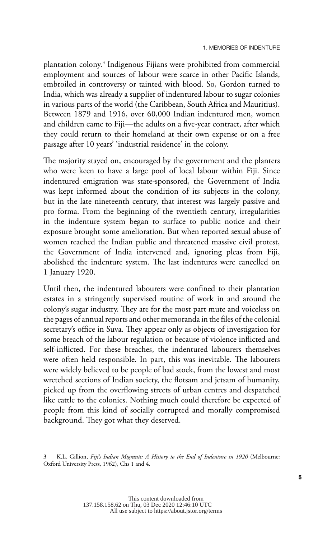plantation colony.3 Indigenous Fijians were prohibited from commercial employment and sources of labour were scarce in other Pacific Islands, embroiled in controversy or tainted with blood. So, Gordon turned to India, which was already a supplier of indentured labour to sugar colonies in various parts of the world (the Caribbean, South Africa and Mauritius). Between 1879 and 1916, over 60,000 Indian indentured men, women and children came to Fiji—the adults on a five-year contract, after which they could return to their homeland at their own expense or on a free passage after 10 years' 'industrial residence' in the colony.

The majority stayed on, encouraged by the government and the planters who were keen to have a large pool of local labour within Fiji. Since indentured emigration was state-sponsored, the Government of India was kept informed about the condition of its subjects in the colony, but in the late nineteenth century, that interest was largely passive and pro forma. From the beginning of the twentieth century, irregularities in the indenture system began to surface to public notice and their exposure brought some amelioration. But when reported sexual abuse of women reached the Indian public and threatened massive civil protest, the Government of India intervened and, ignoring pleas from Fiji, abolished the indenture system. The last indentures were cancelled on 1 January 1920.

Until then, the indentured labourers were confined to their plantation estates in a stringently supervised routine of work in and around the colony's sugar industry. They are for the most part mute and voiceless on the pages of annual reports and other memoranda in the files of the colonial secretary's office in Suva. They appear only as objects of investigation for some breach of the labour regulation or because of violence inflicted and self-inflicted. For these breaches, the indentured labourers themselves were often held responsible. In part, this was inevitable. The labourers were widely believed to be people of bad stock, from the lowest and most wretched sections of Indian society, the flotsam and jetsam of humanity, picked up from the overflowing streets of urban centres and despatched like cattle to the colonies. Nothing much could therefore be expected of people from this kind of socially corrupted and morally compromised background. They got what they deserved.

<sup>3</sup> K.L. Gillion, *Fiji's Indian Migrants: A History to the End of Indenture in 1920* (Melbourne: Oxford University Press, 1962), Chs 1 and 4.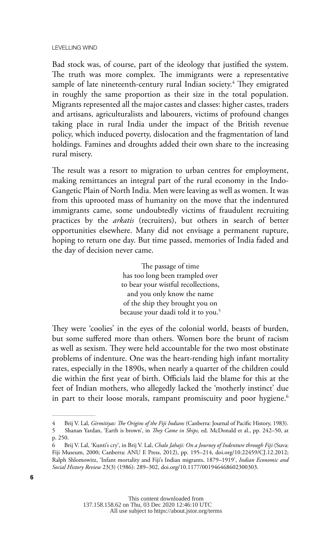Bad stock was, of course, part of the ideology that justified the system. The truth was more complex. The immigrants were a representative sample of late nineteenth-century rural Indian society.<sup>4</sup> They emigrated in roughly the same proportion as their size in the total population. Migrants represented all the major castes and classes: higher castes, traders and artisans, agriculturalists and labourers, victims of profound changes taking place in rural India under the impact of the British revenue policy, which induced poverty, dislocation and the fragmentation of land holdings. Famines and droughts added their own share to the increasing rural misery.

The result was a resort to migration to urban centres for employment, making remittances an integral part of the rural economy in the Indo-Gangetic Plain of North India. Men were leaving as well as women. It was from this uprooted mass of humanity on the move that the indentured immigrants came, some undoubtedly victims of fraudulent recruiting practices by the *arkatis* (recruiters), but others in search of better opportunities elsewhere. Many did not envisage a permanent rupture, hoping to return one day. But time passed, memories of India faded and the day of decision never came.

> The passage of time has too long been trampled over to bear your wistful recollections, and you only know the name of the ship they brought you on because your daadi told it to you.5

They were 'coolies' in the eyes of the colonial world, beasts of burden, but some suffered more than others. Women bore the brunt of racism as well as sexism. They were held accountable for the two most obstinate problems of indenture. One was the heart-rending high infant mortality rates, especially in the 1890s, when nearly a quarter of the children could die within the first year of birth. Officials laid the blame for this at the feet of Indian mothers, who allegedly lacked the 'motherly instinct' due in part to their loose morals, rampant promiscuity and poor hygiene.<sup>6</sup>

<sup>4</sup> Brij V. Lal, *Girmitiyas: The Origins of the Fiji Indians* (Canberra: Journal of Pacific History, 1983). 5 Shanan Yardan, 'Earth is brown', in *They Came in Ships,* ed. McDonald et al., pp. 242–50, at p. 250.

<sup>6</sup> Brij V. Lal, 'Kunti's cry', in Brij V. Lal, *Chalo Jahaji: On a Journey of Indenture through Fiji* (Suva: Fiji Museum, 2000; Canberra: ANU E Press, 2012), pp. 195–214, [doi.org/10.22459/CJ.12.2012](http://doi.org/10.22459/CJ.12.2012); Ralph Shlomowitz, 'Infant mortality and Fiji's Indian migrants, 1879–1919', *Indian Economic and Social History Review* 23(3) (1986): 289–302, [doi.org/10.1177/001946468602300303.](http://doi.org/10.1177/001946468602300303)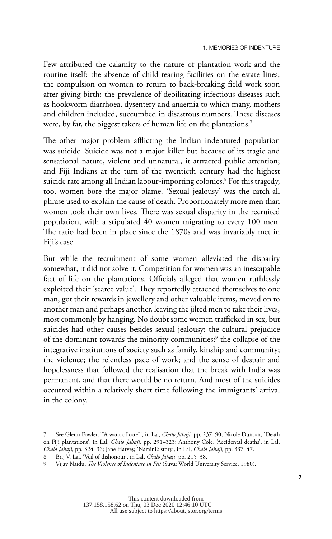Few attributed the calamity to the nature of plantation work and the routine itself: the absence of child-rearing facilities on the estate lines; the compulsion on women to return to back-breaking field work soon after giving birth; the prevalence of debilitating infectious diseases such as hookworm diarrhoea, dysentery and anaemia to which many, mothers and children included, succumbed in disastrous numbers. These diseases were, by far, the biggest takers of human life on the plantations.<sup>7</sup>

The other major problem afflicting the Indian indentured population was suicide. Suicide was not a major killer but because of its tragic and sensational nature, violent and unnatural, it attracted public attention; and Fiji Indians at the turn of the twentieth century had the highest suicide rate among all Indian labour-importing colonies.8 For this tragedy, too, women bore the major blame. 'Sexual jealousy' was the catch-all phrase used to explain the cause of death. Proportionately more men than women took their own lives. There was sexual disparity in the recruited population, with a stipulated 40 women migrating to every 100 men. The ratio had been in place since the 1870s and was invariably met in Fiji's case.

But while the recruitment of some women alleviated the disparity somewhat, it did not solve it. Competition for women was an inescapable fact of life on the plantations. Officials alleged that women ruthlessly exploited their 'scarce value'. They reportedly attached themselves to one man, got their rewards in jewellery and other valuable items, moved on to another man and perhaps another, leaving the jilted men to take their lives, most commonly by hanging. No doubt some women trafficked in sex, but suicides had other causes besides sexual jealousy: the cultural prejudice of the dominant towards the minority communities;<sup>9</sup> the collapse of the integrative institutions of society such as family, kinship and community; the violence; the relentless pace of work; and the sense of despair and hopelessness that followed the realisation that the break with India was permanent, and that there would be no return. And most of the suicides occurred within a relatively short time following the immigrants' arrival in the colony.

137.158.158.62 on Thu, 03 Dec 2020 12:46:10 UTC All use subject to https://about.jstor.org/terms

<sup>7</sup> See Glenn Fowler, '"A want of care"', in Lal, *Chalo Jahaji,* pp. 237–90; Nicole Duncan, 'Death on Fiji plantations', in Lal, *Chalo Jahaji,* pp. 291–323; Anthony Cole, 'Accidental deaths', in Lal, *Chalo Jahaji,* pp. 324–36; Jane Harvey, 'Naraini's story', in Lal, *Chalo Jahaji,* pp. 337–47.

<sup>8</sup> Brij V. Lal, 'Veil of dishonour', in Lal, *Chalo Jahaji,* pp. 215–38.

<sup>9</sup> Vijay Naidu, *The Violence of Indenture in Fiji* (Suva: World University Service, 1980).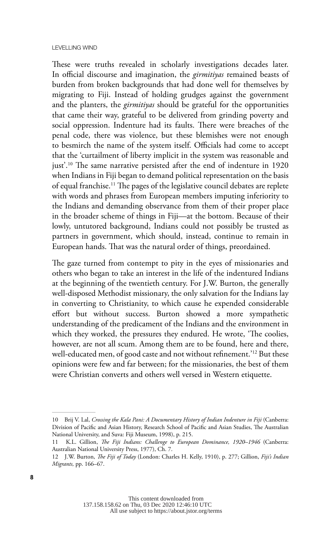These were truths revealed in scholarly investigations decades later. In official discourse and imagination, the *girmitiyas* remained beasts of burden from broken backgrounds that had done well for themselves by migrating to Fiji. Instead of holding grudges against the government and the planters, the *girmitiyas* should be grateful for the opportunities that came their way, grateful to be delivered from grinding poverty and social oppression. Indenture had its faults. There were breaches of the penal code, there was violence, but these blemishes were not enough to besmirch the name of the system itself. Officials had come to accept that the 'curtailment of liberty implicit in the system was reasonable and just'.<sup>10</sup> The same narrative persisted after the end of indenture in 1920 when Indians in Fiji began to demand political representation on the basis of equal franchise.11 The pages of the legislative council debates are replete with words and phrases from European members imputing inferiority to the Indians and demanding observance from them of their proper place in the broader scheme of things in Fiji—at the bottom. Because of their lowly, untutored background, Indians could not possibly be trusted as partners in government, which should, instead, continue to remain in European hands. That was the natural order of things, preordained.

The gaze turned from contempt to pity in the eyes of missionaries and others who began to take an interest in the life of the indentured Indians at the beginning of the twentieth century. For J.W. Burton, the generally well-disposed Methodist missionary, the only salvation for the Indians lay in converting to Christianity, to which cause he expended considerable effort but without success. Burton showed a more sympathetic understanding of the predicament of the Indians and the environment in which they worked, the pressures they endured. He wrote, 'The coolies, however, are not all scum. Among them are to be found, here and there, well-educated men, of good caste and not without refinement.'12 But these opinions were few and far between; for the missionaries, the best of them were Christian converts and others well versed in Western etiquette.

<sup>10</sup> Brij V. Lal, *Crossing the Kala Pani: A Documentary History of Indian Indenture in Fiji* (Canberra: Division of Pacific and Asian History, Research School of Pacific and Asian Studies, The Australian National University, and Suva: Fiji Museum, 1998), p. 215.

<sup>11</sup> K.L. Gillion, *The Fiji Indians: Challenge to European Dominance, 1920–1946* (Canberra: Australian National University Press, 1977), Ch. 7.

<sup>12</sup> J.W. Burton, *The Fiji of Today* (London: Charles H. Kelly, 1910), p. 277; Gillion, *Fiji's Indian Migrants,* pp. 166–67.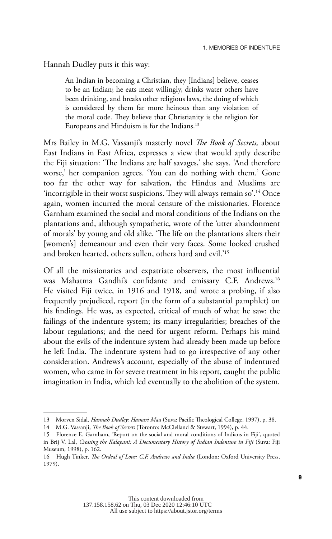### Hannah Dudley puts it this way:

An Indian in becoming a Christian, they [Indians] believe, ceases to be an Indian; he eats meat willingly, drinks water others have been drinking, and breaks other religious laws, the doing of which is considered by them far more heinous than any violation of the moral code. They believe that Christianity is the religion for Europeans and Hinduism is for the Indians.<sup>13</sup>

Mrs Bailey in M.G. Vassanji's masterly novel *The Book of Secrets,* about East Indians in East Africa, expresses a view that would aptly describe the Fiji situation: 'The Indians are half savages,' she says. 'And therefore worse,' her companion agrees. 'You can do nothing with them.' Gone too far the other way for salvation, the Hindus and Muslims are 'incorrigible in their worst suspicions. They will always remain so'.14 Once again, women incurred the moral censure of the missionaries. Florence Garnham examined the social and moral conditions of the Indians on the plantations and, although sympathetic, wrote of the 'utter abandonment of morals' by young and old alike. 'The life on the plantations alters their [women's] demeanour and even their very faces. Some looked crushed and broken hearted, others sullen, others hard and evil.'15

Of all the missionaries and expatriate observers, the most influential was Mahatma Gandhi's confidante and emissary C.F. Andrews.16 He visited Fiji twice, in 1916 and 1918, and wrote a probing, if also frequently prejudiced, report (in the form of a substantial pamphlet) on his findings. He was, as expected, critical of much of what he saw: the failings of the indenture system; its many irregularities; breaches of the labour regulations; and the need for urgent reform. Perhaps his mind about the evils of the indenture system had already been made up before he left India. The indenture system had to go irrespective of any other consideration. Andrews's account, especially of the abuse of indentured women, who came in for severe treatment in his report, caught the public imagination in India, which led eventually to the abolition of the system.

<sup>13</sup> Morven Sidal, *Hannah Dudley: Hamari Maa* (Suva: Pacific Theological College, 1997), p. 38.

<sup>14</sup> M.G. Vassanji, *The Book of Secrets* (Toronto: McClelland & Stewart, 1994), p. 44.

<sup>15</sup> Florence E. Garnham, 'Report on the social and moral conditions of Indians in Fiji', quoted in Brij V. Lal, *Crossing the Kalapani: A Documentary History of Indian Indenture in Fiji* (Suva: Fiji Museum, 1998), p. 162.

<sup>16</sup> Hugh Tinker, *The Ordeal of Love: C.F. Andrews and India* (London: Oxford University Press, 1979).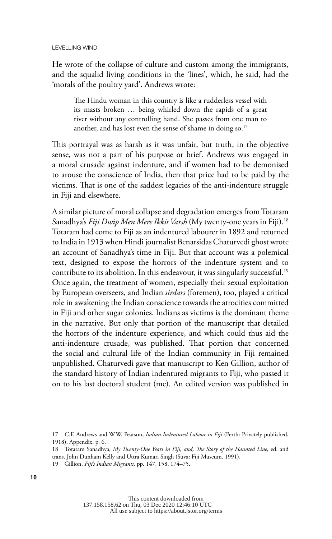He wrote of the collapse of culture and custom among the immigrants, and the squalid living conditions in the 'lines', which, he said, had the 'morals of the poultry yard'. Andrews wrote:

The Hindu woman in this country is like a rudderless vessel with its masts broken … being whirled down the rapids of a great river without any controlling hand. She passes from one man to another, and has lost even the sense of shame in doing so.<sup>17</sup>

This portrayal was as harsh as it was unfair, but truth, in the objective sense, was not a part of his purpose or brief. Andrews was engaged in a moral crusade against indenture, and if women had to be demonised to arouse the conscience of India, then that price had to be paid by the victims. That is one of the saddest legacies of the anti-indenture struggle in Fiji and elsewhere.

A similar picture of moral collapse and degradation emerges from Totaram Sanadhya's *Fiji Dwip Men Mere Ikkis Varsh* (My twenty-one years in Fiji).18 Totaram had come to Fiji as an indentured labourer in 1892 and returned to India in 1913 when Hindi journalist Benarsidas Chaturvedi ghost wrote an account of Sanadhya's time in Fiji. But that account was a polemical text, designed to expose the horrors of the indenture system and to contribute to its abolition. In this endeavour, it was singularly successful.<sup>19</sup> Once again, the treatment of women, especially their sexual exploitation by European overseers, and Indian *sirdars* (foremen), too, played a critical role in awakening the Indian conscience towards the atrocities committed in Fiji and other sugar colonies. Indians as victims is the dominant theme in the narrative. But only that portion of the manuscript that detailed the horrors of the indenture experience, and which could thus aid the anti-indenture crusade, was published. That portion that concerned the social and cultural life of the Indian community in Fiji remained unpublished. Chaturvedi gave that manuscript to Ken Gillion, author of the standard history of Indian indentured migrants to Fiji, who passed it on to his last doctoral student (me). An edited version was published in

<sup>17</sup> C.F. Andrews and W.W. Pearson, *Indian Indentured Labour in Fiji* (Perth: Privately published, 1918), Appendix, p. 6.

<sup>18</sup> Totaram Sanadhya, *My Twenty-One Years in Fiji, and, The Story of the Haunted Line,* ed. and trans. John Dunham Kelly and Uttra Kumari Singh (Suva: Fiji Museum, 1991).

<sup>19</sup> Gillion, *Fiji's Indian Migrants,* pp. 147, 158, 174–75.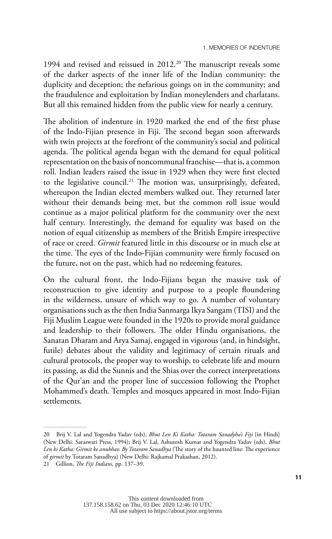1994 and revised and reissued in 2012.<sup>20</sup> The manuscript reveals some of the darker aspects of the inner life of the Indian community: the duplicity and deception; the nefarious goings on in the community; and the fraudulence and exploitation by Indian moneylenders and charlatans. But all this remained hidden from the public view for nearly a century.

The abolition of indenture in 1920 marked the end of the first phase of the Indo-Fijian presence in Fiji. The second began soon afterwards with twin projects at the forefront of the community's social and political agenda. The political agenda began with the demand for equal political representation on the basis of noncommunal franchise—that is, a common roll. Indian leaders raised the issue in 1929 when they were first elected to the legislative council.21 The motion was, unsurprisingly, defeated, whereupon the Indian elected members walked out. They returned later without their demands being met, but the common roll issue would continue as a major political platform for the community over the next half century. Interestingly, the demand for equality was based on the notion of equal citizenship as members of the British Empire irrespective of race or creed. *Girmit* featured little in this discourse or in much else at the time. The eyes of the Indo-Fijian community were firmly focused on the future, not on the past, which had no redeeming features.

On the cultural front, the Indo-Fijians began the massive task of reconstruction to give identity and purpose to a people floundering in the wilderness, unsure of which way to go. A number of voluntary organisations such as the then India Sanmarga Ikya Sangam (TISI) and the Fiji Muslim League were founded in the 1920s to provide moral guidance and leadership to their followers. The older Hindu organisations, the Sanatan Dharam and Arya Samaj, engaged in vigorous (and, in hindsight, futile) debates about the validity and legitimacy of certain rituals and cultural protocols, the proper way to worship, to celebrate life and mourn its passing, as did the Sunnis and the Shias over the correct interpretations of the Qur'an and the proper line of succession following the Prophet Mohammed's death. Temples and mosques appeared in most Indo-Fijian settlements.

<sup>20</sup> Brij V. Lal and Yogendra Yadav (eds), *Bhut Len Ki Katha: Totaram Sanadyha's Fiji* [in Hindi] (New Delhi: Saraswati Press, 1994); Brij V. Lal, Ashutosh Kumar and Yogendra Yadav (eds), *Bhut Len ki Katha: Girmit ke anubhav. By Totaram Sanadhya* (The story of the haunted line: The experience of *girmit* by Totaram Sanadhya) (New Delhi: Rajkamal Prakashan, 2012).

<sup>21</sup> Gillion, *The Fiji Indians,* pp. 137–39.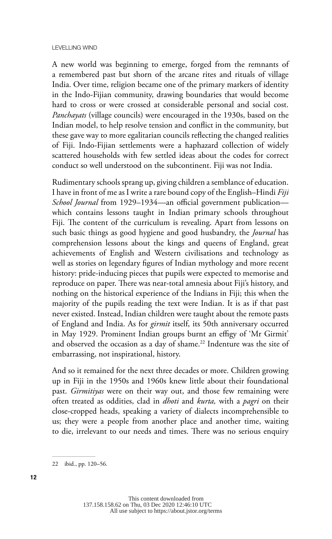A new world was beginning to emerge, forged from the remnants of a remembered past but shorn of the arcane rites and rituals of village India. Over time, religion became one of the primary markers of identity in the Indo-Fijian community, drawing boundaries that would become hard to cross or were crossed at considerable personal and social cost. *Panchayats* (village councils) were encouraged in the 1930s, based on the Indian model, to help resolve tension and conflict in the community, but these gave way to more egalitarian councils reflecting the changed realities of Fiji. Indo-Fijian settlements were a haphazard collection of widely scattered households with few settled ideas about the codes for correct conduct so well understood on the subcontinent. Fiji was not India.

Rudimentary schools sprang up, giving children a semblance of education. I have in front of me as I write a rare bound copy of the English–Hindi *Fiji School Journal* from 1929–1934—an official government publication which contains lessons taught in Indian primary schools throughout Fiji. The content of the curriculum is revealing. Apart from lessons on such basic things as good hygiene and good husbandry, the *Journal* has comprehension lessons about the kings and queens of England, great achievements of English and Western civilisations and technology as well as stories on legendary figures of Indian mythology and more recent history: pride-inducing pieces that pupils were expected to memorise and reproduce on paper. There was near-total amnesia about Fiji's history, and nothing on the historical experience of the Indians in Fiji; this when the majority of the pupils reading the text were Indian. It is as if that past never existed. Instead, Indian children were taught about the remote pasts of England and India. As for *girmit* itself, its 50th anniversary occurred in May 1929. Prominent Indian groups burnt an effigy of 'Mr Girmit' and observed the occasion as a day of shame.<sup>22</sup> Indenture was the site of embarrassing, not inspirational, history.

And so it remained for the next three decades or more. Children growing up in Fiji in the 1950s and 1960s knew little about their foundational past. *Girmitiyas* were on their way out, and those few remaining were often treated as oddities, clad in *dhoti* and *kurta,* with a *pagri* on their close-cropped heads, speaking a variety of dialects incomprehensible to us; they were a people from another place and another time, waiting to die, irrelevant to our needs and times. There was no serious enquiry

<sup>22</sup> ibid., pp. 120–56.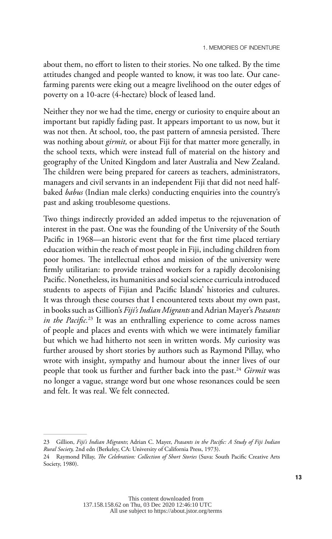about them, no effort to listen to their stories. No one talked. By the time attitudes changed and people wanted to know, it was too late. Our canefarming parents were eking out a meagre livelihood on the outer edges of poverty on a 10-acre (4-hectare) block of leased land.

Neither they nor we had the time, energy or curiosity to enquire about an important but rapidly fading past. It appears important to us now, but it was not then. At school, too, the past pattern of amnesia persisted. There was nothing about *girmit,* or about Fiji for that matter more generally, in the school texts, which were instead full of material on the history and geography of the United Kingdom and later Australia and New Zealand. The children were being prepared for careers as teachers, administrators, managers and civil servants in an independent Fiji that did not need halfbaked *babus* (Indian male clerks) conducting enquiries into the country's past and asking troublesome questions.

Two things indirectly provided an added impetus to the rejuvenation of interest in the past. One was the founding of the University of the South Pacific in 1968—an historic event that for the first time placed tertiary education within the reach of most people in Fiji, including children from poor homes. The intellectual ethos and mission of the university were firmly utilitarian: to provide trained workers for a rapidly decolonising Pacific. Nonetheless, its humanities and social science curricula introduced students to aspects of Fijian and Pacific Islands' histories and cultures. It was through these courses that I encountered texts about my own past, in books such as Gillion's *Fiji's Indian Migrants* and Adrian Mayer's *Peasants in the Pacific.*23 It was an enthralling experience to come across names of people and places and events with which we were intimately familiar but which we had hitherto not seen in written words. My curiosity was further aroused by short stories by authors such as Raymond Pillay, who wrote with insight, sympathy and humour about the inner lives of our people that took us further and further back into the past.24 *Girmit* was no longer a vague, strange word but one whose resonances could be seen and felt. It was real. We felt connected.

<sup>23</sup> Gillion, *Fiji's Indian Migrants*; Adrian C. Mayer, *Peasants in the Pacific: A Study of Fiji Indian Rural Society,* 2nd edn (Berkeley, CA: University of California Press, 1973).

<sup>24</sup> Raymond Pillay, *The Celebration: Collection of Short Stories* (Suva: South Pacific Creative Arts Society, 1980).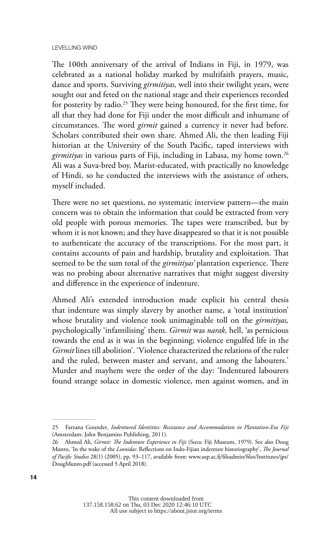The 100th anniversary of the arrival of Indians in Fiji, in 1979, was celebrated as a national holiday marked by multifaith prayers, music, dance and sports. Surviving *girmitiyas,* well into their twilight years, were sought out and feted on the national stage and their experiences recorded for posterity by radio.<sup>25</sup> They were being honoured, for the first time, for all that they had done for Fiji under the most difficult and inhumane of circumstances. The word *girmit* gained a currency it never had before. Scholars contributed their own share. Ahmed Ali, the then leading Fiji historian at the University of the South Pacific, taped interviews with *girmitiyas* in various parts of Fiji, including in Labasa, my home town.<sup>26</sup> Ali was a Suva-bred boy, Marist-educated, with practically no knowledge of Hindi, so he conducted the interviews with the assistance of others, myself included.

There were no set questions, no systematic interview pattern—the main concern was to obtain the information that could be extracted from very old people with porous memories. The tapes were transcribed, but by whom it is not known; and they have disappeared so that it is not possible to authenticate the accuracy of the transcriptions. For the most part, it contains accounts of pain and hardship, brutality and exploitation. That seemed to be the sum total of the *girmitiyas'* plantation experience. There was no probing about alternative narratives that might suggest diversity and difference in the experience of indenture.

Ahmed Ali's extended introduction made explicit his central thesis that indenture was simply slavery by another name, a 'total institution' whose brutality and violence took unimaginable toll on the *girmitiyas,* psychologically 'infantilising' them. *Girmit* was *narak,* hell, 'as pernicious towards the end as it was in the beginning; violence engulfed life in the *Girmit* lines till abolition'. 'Violence characterized the relations of the ruler and the ruled, between master and servant, and among the labourers.' Murder and mayhem were the order of the day: 'Indentured labourers found strange solace in domestic violence, men against women, and in

<sup>25</sup> Farzana Gounder*, Indentured Identities: Resistance and Accommodation in Plantation-Era Fiji* (Amsterdam: John Benjamins Publishing, 2011).

<sup>26</sup> Ahmed Ali, *Girmit: The Indenture Experience in Fiji* (Suva: Fiji Museum, 1979). See also Doug Munro, 'In the wake of the *Leonidas:* Reflections on Indo-Fijian indenture historiography', *The Journal of Pacific Studies* 28(1) (2005), pp. 93–117, available from: [www.usp.ac.fj/fileadmin/files/Institutes/jps/](http://www.usp.ac.fj/fileadmin/files/Institutes/jps/DougMunro.pdf) [DougMunro.pdf](http://www.usp.ac.fj/fileadmin/files/Institutes/jps/DougMunro.pdf) (accessed 5 April 2018).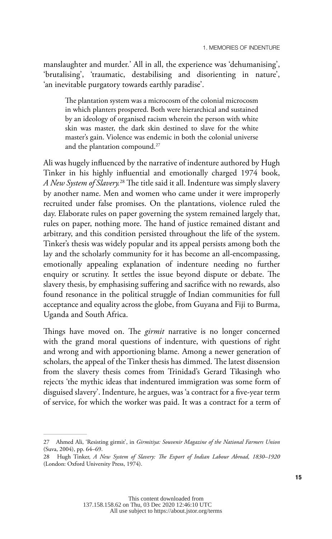manslaughter and murder.' All in all, the experience was 'dehumanising', 'brutalising', 'traumatic, destabilising and disorienting in nature', 'an inevitable purgatory towards earthly paradise'.

The plantation system was a microcosm of the colonial microcosm in which planters prospered. Both were hierarchical and sustained by an ideology of organised racism wherein the person with white skin was master, the dark skin destined to slave for the white master's gain. Violence was endemic in both the colonial universe and the plantation compound.<sup>27</sup>

Ali was hugely influenced by the narrative of indenture authored by Hugh Tinker in his highly influential and emotionally charged 1974 book, *A New System of Slavery.*28 The title said it all. Indenture was simply slavery by another name. Men and women who came under it were improperly recruited under false promises. On the plantations, violence ruled the day. Elaborate rules on paper governing the system remained largely that, rules on paper, nothing more. The hand of justice remained distant and arbitrary, and this condition persisted throughout the life of the system. Tinker's thesis was widely popular and its appeal persists among both the lay and the scholarly community for it has become an all-encompassing, emotionally appealing explanation of indenture needing no further enquiry or scrutiny. It settles the issue beyond dispute or debate. The slavery thesis, by emphasising suffering and sacrifice with no rewards, also found resonance in the political struggle of Indian communities for full acceptance and equality across the globe, from Guyana and Fiji to Burma, Uganda and South Africa.

Things have moved on. The *girmit* narrative is no longer concerned with the grand moral questions of indenture, with questions of right and wrong and with apportioning blame. Among a newer generation of scholars, the appeal of the Tinker thesis has dimmed. The latest dissension from the slavery thesis comes from Trinidad's Gerard Tikasingh who rejects 'the mythic ideas that indentured immigration was some form of disguised slavery'. Indenture, he argues, was 'a contract for a five-year term of service, for which the worker was paid. It was a contract for a term of

<sup>27</sup> Ahmed Ali, 'Resisting girmit', in *Girmitiya: Souvenir Magazine of the National Farmers Union* (Suva, 2004), pp. 64–69.

<sup>28</sup> Hugh Tinker, *A New System of Slavery: The Export of Indian Labour Abroad, 1830–1920* (London: Oxford University Press, 1974).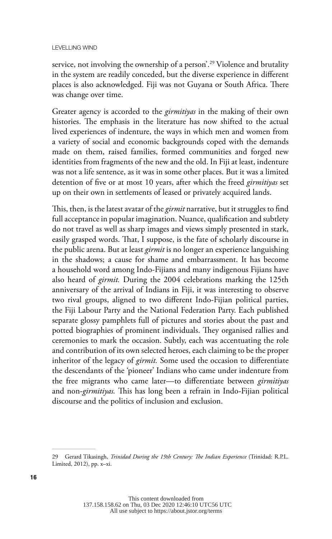service, not involving the ownership of a person<sup>'29</sup> Violence and brutality in the system are readily conceded, but the diverse experience in different places is also acknowledged. Fiji was not Guyana or South Africa. There was change over time.

Greater agency is accorded to the *girmitiyas* in the making of their own histories. The emphasis in the literature has now shifted to the actual lived experiences of indenture, the ways in which men and women from a variety of social and economic backgrounds coped with the demands made on them, raised families, formed communities and forged new identities from fragments of the new and the old. In Fiji at least, indenture was not a life sentence, as it was in some other places. But it was a limited detention of five or at most 10 years, after which the freed *girmitiyas* set up on their own in settlements of leased or privately acquired lands.

This, then, is the latest avatar of the *girmit* narrative, but it struggles to find full acceptance in popular imagination. Nuance, qualification and subtlety do not travel as well as sharp images and views simply presented in stark, easily grasped words. That, I suppose, is the fate of scholarly discourse in the public arena. But at least *girmit* is no longer an experience languishing in the shadows; a cause for shame and embarrassment. It has become a household word among Indo-Fijians and many indigenous Fijians have also heard of *girmit.* During the 2004 celebrations marking the 125th anniversary of the arrival of Indians in Fiji, it was interesting to observe two rival groups, aligned to two different Indo-Fijian political parties, the Fiji Labour Party and the National Federation Party. Each published separate glossy pamphlets full of pictures and stories about the past and potted biographies of prominent individuals. They organised rallies and ceremonies to mark the occasion. Subtly, each was accentuating the role and contribution of its own selected heroes, each claiming to be the proper inheritor of the legacy of *girmit.* Some used the occasion to differentiate the descendants of the 'pioneer' Indians who came under indenture from the free migrants who came later—to differentiate between *girmitiyas* and non-*girmitiyas.* This has long been a refrain in Indo-Fijian political discourse and the politics of inclusion and exclusion.

<sup>29</sup> Gerard Tikasingh, *Trinidad During the 19th Century: The Indian Experience* (Trinidad: R.P.L. Limited, 2012), pp. x–xi.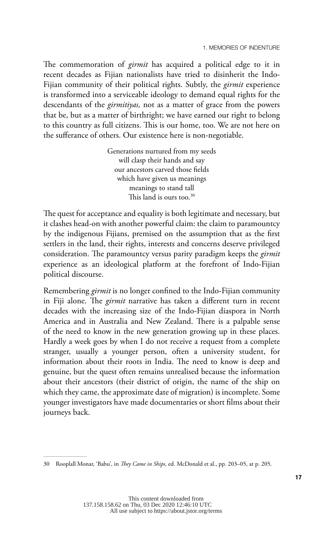The commemoration of *girmit* has acquired a political edge to it in recent decades as Fijian nationalists have tried to disinherit the Indo-Fijian community of their political rights. Subtly, the *girmit* experience is transformed into a serviceable ideology to demand equal rights for the descendants of the *girmitiyas,* not as a matter of grace from the powers that be, but as a matter of birthright; we have earned our right to belong to this country as full citizens. This is our home, too. We are not here on the sufferance of others. Our existence here is non-negotiable.

> Generations nurtured from my seeds will clasp their hands and say our ancestors carved those fields which have given us meanings meanings to stand tall This land is ours too.<sup>30</sup>

The quest for acceptance and equality is both legitimate and necessary, but it clashes head-on with another powerful claim: the claim to paramountcy by the indigenous Fijians, premised on the assumption that as the first settlers in the land, their rights, interests and concerns deserve privileged consideration. The paramountcy versus parity paradigm keeps the *girmit* experience as an ideological platform at the forefront of Indo-Fijian political discourse.

Remembering *girmit* is no longer confined to the Indo-Fijian community in Fiji alone. The *girmit* narrative has taken a different turn in recent decades with the increasing size of the Indo-Fijian diaspora in North America and in Australia and New Zealand. There is a palpable sense of the need to know in the new generation growing up in these places. Hardly a week goes by when I do not receive a request from a complete stranger, usually a younger person, often a university student, for information about their roots in India. The need to know is deep and genuine, but the quest often remains unrealised because the information about their ancestors (their district of origin, the name of the ship on which they came, the approximate date of migration) is incomplete. Some younger investigators have made documentaries or short films about their journeys back.

<sup>30</sup> Rooplall Monar, 'Babu', in *They Came in Ships,* ed. McDonald et al., pp. 203–05, at p. 205.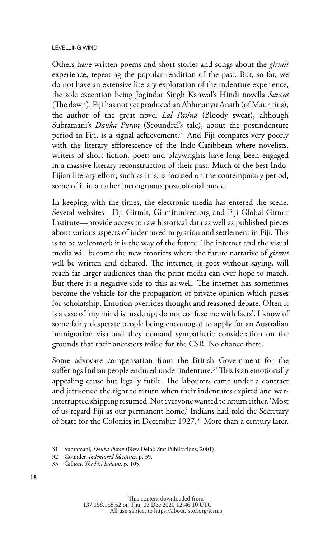Others have written poems and short stories and songs about the *girmit* experience, repeating the popular rendition of the past. But, so far, we do not have an extensive literary exploration of the indenture experience, the sole exception being Jogindar Singh Kanwal's Hindi novella *Savera* (The dawn). Fiji has not yet produced an Abhmanyu Anath (of Mauritius), the author of the great novel *Lal Pasina* (Bloody sweat), although Subramani's *Dauka Puran* (Scoundrel's tale), about the postindenture period in Fiji, is a signal achievement.<sup>31</sup> And Fiji compares very poorly with the literary efflorescence of the Indo-Caribbean where novelists, writers of short fiction, poets and playwrights have long been engaged in a massive literary reconstruction of their past. Much of the best Indo-Fijian literary effort, such as it is, is focused on the contemporary period, some of it in a rather incongruous postcolonial mode.

In keeping with the times, the electronic media has entered the scene. Several websites—Fiji Girmit, Girmitunited.org and Fiji Global Girmit Institute—provide access to raw historical data as well as published pieces about various aspects of indentured migration and settlement in Fiji. This is to be welcomed; it is the way of the future. The internet and the visual media will become the new frontiers where the future narrative of *girmit* will be written and debated. The internet, it goes without saying, will reach far larger audiences than the print media can ever hope to match. But there is a negative side to this as well. The internet has sometimes become the vehicle for the propagation of private opinion which passes for scholarship. Emotion overrides thought and reasoned debate. Often it is a case of 'my mind is made up; do not confuse me with facts'. I know of some fairly desperate people being encouraged to apply for an Australian immigration visa and they demand sympathetic consideration on the grounds that their ancestors toiled for the CSR. No chance there.

Some advocate compensation from the British Government for the sufferings Indian people endured under indenture.<sup>32</sup> This is an emotionally appealing cause but legally futile. The labourers came under a contract and jettisoned the right to return when their indentures expired and warinterrupted shipping resumed. Not everyone wanted to return either. 'Most of us regard Fiji as our permanent home,' Indians had told the Secretary of State for the Colonies in December 1927.33 More than a century later,

<sup>31</sup> Subramani, *Dauka Puran* (New Delhi: Star Publications, 2001).

<sup>32</sup> Gounder, *Indentured Identities,* p. 39.

<sup>33</sup> Gillion, *The Fiji Indians,* p. 105.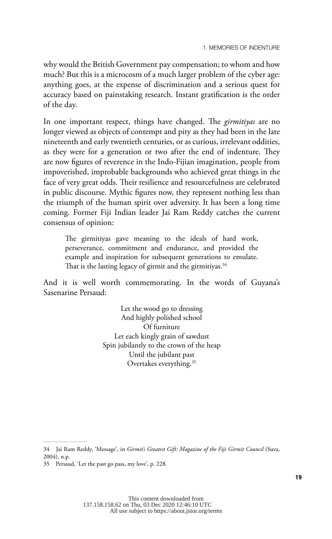why would the British Government pay compensation; to whom and how much? But this is a microcosm of a much larger problem of the cyber age: anything goes, at the expense of discrimination and a serious quest for accuracy based on painstaking research. Instant gratification is the order of the day.

In one important respect, things have changed. The *girmitiyas* are no longer viewed as objects of contempt and pity as they had been in the late nineteenth and early twentieth centuries, or as curious, irrelevant oddities, as they were for a generation or two after the end of indenture. They are now figures of reverence in the Indo-Fijian imagination, people from impoverished, improbable backgrounds who achieved great things in the face of very great odds. Their resilience and resourcefulness are celebrated in public discourse. Mythic figures now, they represent nothing less than the triumph of the human spirit over adversity. It has been a long time coming. Former Fiji Indian leader Jai Ram Reddy catches the current consensus of opinion:

The girmitiyas gave meaning to the ideals of hard work, perseverance, commitment and endurance, and provided the example and inspiration for subsequent generations to emulate. That is the lasting legacy of girmit and the girmitiyas. $34$ 

And it is well worth commemorating. In the words of Guyana's Sasenarine Persaud:

> Let the wood go to dressing And highly polished school Of furniture Let each kingly grain of sawdust Spin jubilantly to the crown of the heap Until the jubilant past Overtakes everything.35

<sup>34</sup> Jai Ram Reddy, 'Message', in *Girmit's Greatest Gift: Magazine of the Fiji Girmit Council* (Suva, 2004), n.p.

<sup>35</sup> Persaud, 'Let the past go pass, my love', p. 228.